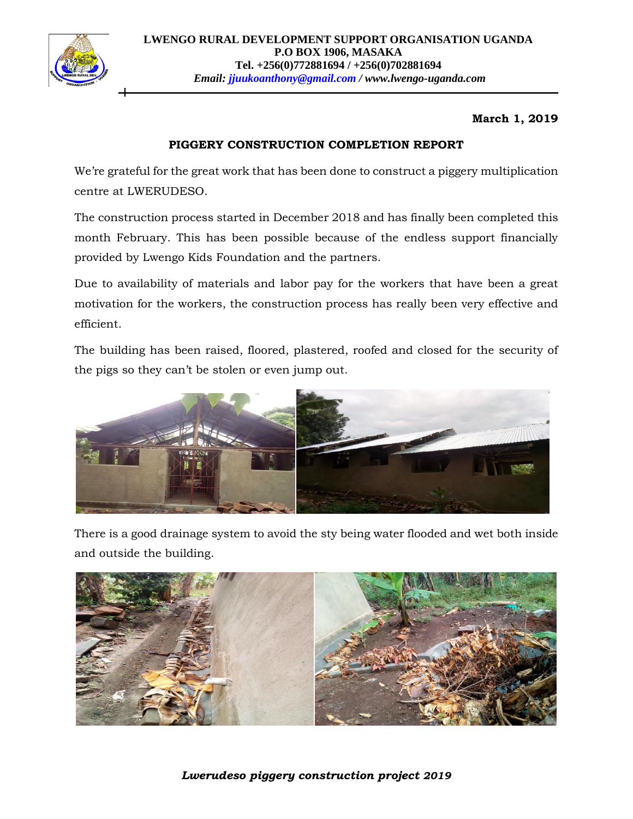

## **March 1, 2019**

## **PIGGERY CONSTRUCTION COMPLETION REPORT**

We're grateful for the great work that has been done to construct a piggery multiplication centre at LWERUDESO.

The construction process started in December 2018 and has finally been completed this month February. This has been possible because of the endless support financially provided by Lwengo Kids Foundation and the partners.

Due to availability of materials and labor pay for the workers that have been a great motivation for the workers, the construction process has really been very effective and efficient.

The building has been raised, floored, plastered, roofed and closed for the security of the pigs so they can't be stolen or even jump out.



There is a good drainage system to avoid the sty being water flooded and wet both inside and outside the building.



*Lwerudeso piggery construction project 2019*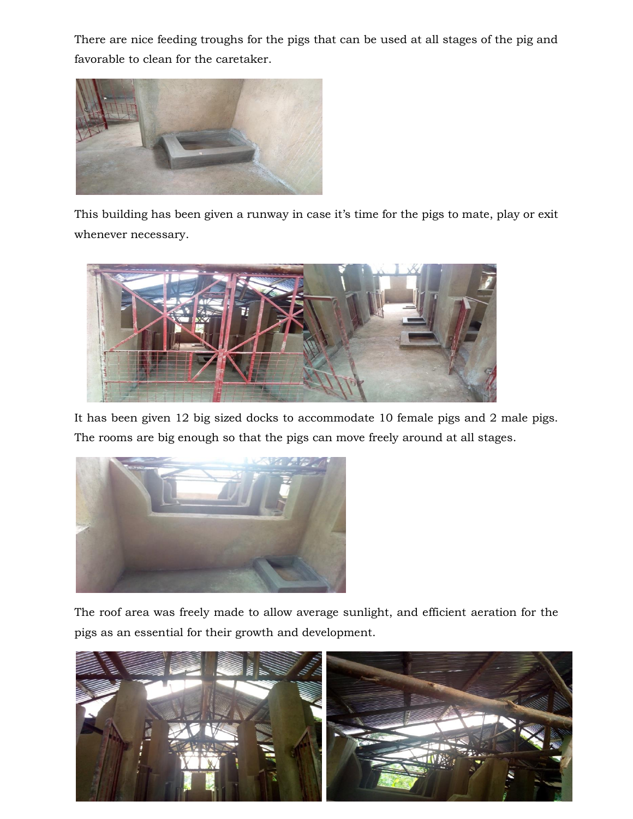There are nice feeding troughs for the pigs that can be used at all stages of the pig and favorable to clean for the caretaker.



This building has been given a runway in case it's time for the pigs to mate, play or exit whenever necessary.



It has been given 12 big sized docks to accommodate 10 female pigs and 2 male pigs. The rooms are big enough so that the pigs can move freely around at all stages.



The roof area was freely made to allow average sunlight, and efficient aeration for the pigs as an essential for their growth and development.

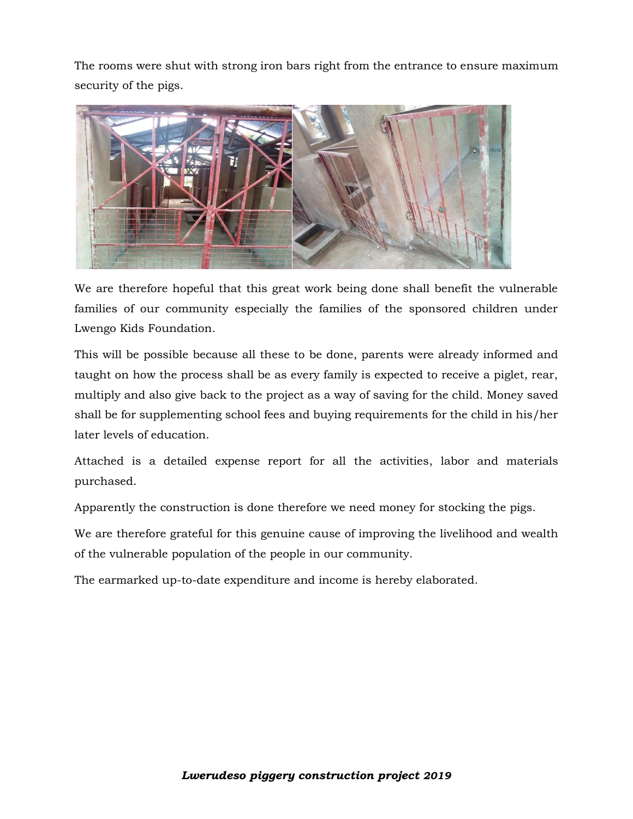The rooms were shut with strong iron bars right from the entrance to ensure maximum security of the pigs.



We are therefore hopeful that this great work being done shall benefit the vulnerable families of our community especially the families of the sponsored children under Lwengo Kids Foundation.

This will be possible because all these to be done, parents were already informed and taught on how the process shall be as every family is expected to receive a piglet, rear, multiply and also give back to the project as a way of saving for the child. Money saved shall be for supplementing school fees and buying requirements for the child in his/her later levels of education.

Attached is a detailed expense report for all the activities, labor and materials purchased.

Apparently the construction is done therefore we need money for stocking the pigs.

We are therefore grateful for this genuine cause of improving the livelihood and wealth of the vulnerable population of the people in our community.

The earmarked up-to-date expenditure and income is hereby elaborated.